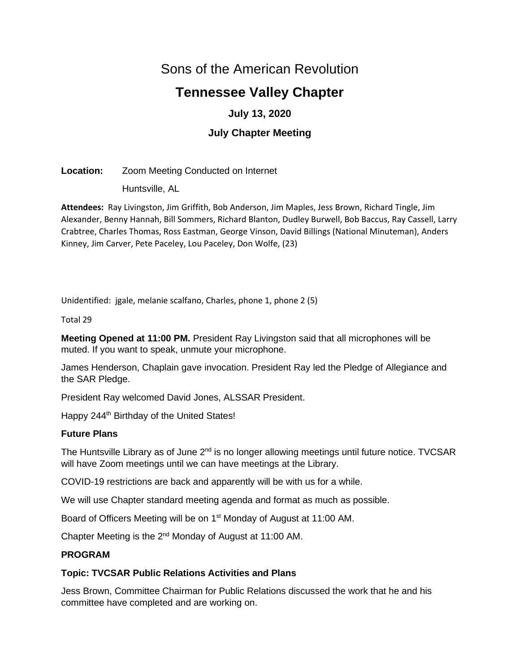# Sons of the American Revolution

# **Tennessee Valley Chapter**

# **July 13, 2020**

# **July Chapter Meeting**

## **Location:** Zoom Meeting Conducted on Internet

Huntsville, AL

**Attendees:** Ray Livingston, Jim Griffith, Bob Anderson, Jim Maples, Jess Brown, Richard Tingle, Jim Alexander, Benny Hannah, Bill Sommers, Richard Blanton, Dudley Burwell, Bob Baccus, Ray Cassell, Larry Crabtree, Charles Thomas, Ross Eastman, George Vinson, David Billings (National Minuteman), Anders Kinney, Jim Carver, Pete Paceley, Lou Paceley, Don Wolfe, (23)

Unidentified: jgale, melanie scalfano, Charles, phone 1, phone 2 (5)

Total 29

**Meeting Opened at 11:00 PM.** President Ray Livingston said that all microphones will be muted. If you want to speak, unmute your microphone.

James Henderson, Chaplain gave invocation. President Ray led the Pledge of Allegiance and the SAR Pledge.

President Ray welcomed David Jones, ALSSAR President.

Happy 244<sup>th</sup> Birthday of the United States!

## **Future Plans**

The Huntsville Library as of June  $2<sup>nd</sup>$  is no longer allowing meetings until future notice. TVCSAR will have Zoom meetings until we can have meetings at the Library.

COVID-19 restrictions are back and apparently will be with us for a while.

We will use Chapter standard meeting agenda and format as much as possible.

Board of Officers Meeting will be on 1<sup>st</sup> Monday of August at 11:00 AM.

Chapter Meeting is the 2nd Monday of August at 11:00 AM.

## **PROGRAM**

## **Topic: TVCSAR Public Relations Activities and Plans**

Jess Brown, Committee Chairman for Public Relations discussed the work that he and his committee have completed and are working on.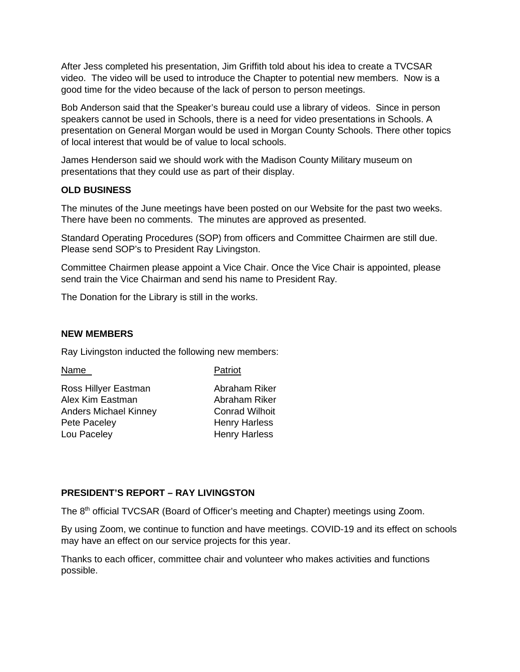After Jess completed his presentation, Jim Griffith told about his idea to create a TVCSAR video. The video will be used to introduce the Chapter to potential new members. Now is a good time for the video because of the lack of person to person meetings.

Bob Anderson said that the Speaker's bureau could use a library of videos. Since in person speakers cannot be used in Schools, there is a need for video presentations in Schools. A presentation on General Morgan would be used in Morgan County Schools. There other topics of local interest that would be of value to local schools.

James Henderson said we should work with the Madison County Military museum on presentations that they could use as part of their display.

#### **OLD BUSINESS**

The minutes of the June meetings have been posted on our Website for the past two weeks. There have been no comments. The minutes are approved as presented.

Standard Operating Procedures (SOP) from officers and Committee Chairmen are still due. Please send SOP's to President Ray Livingston.

Committee Chairmen please appoint a Vice Chair. Once the Vice Chair is appointed, please send train the Vice Chairman and send his name to President Ray.

The Donation for the Library is still in the works.

#### **NEW MEMBERS**

Ray Livingston inducted the following new members:

Name Patriot

| Ross Hillyer Eastman         |
|------------------------------|
| Alex Kim Eastman             |
| <b>Anders Michael Kinney</b> |
| Pete Paceley                 |
| Lou Paceley                  |
|                              |

Abraham Riker Abraham Riker Conrad Wilhoit Henry Harless Henry Harless

#### **PRESIDENT'S REPORT – RAY LIVINGSTON**

The 8th official TVCSAR (Board of Officer's meeting and Chapter) meetings using Zoom.

By using Zoom, we continue to function and have meetings. COVID-19 and its effect on schools may have an effect on our service projects for this year.

Thanks to each officer, committee chair and volunteer who makes activities and functions possible.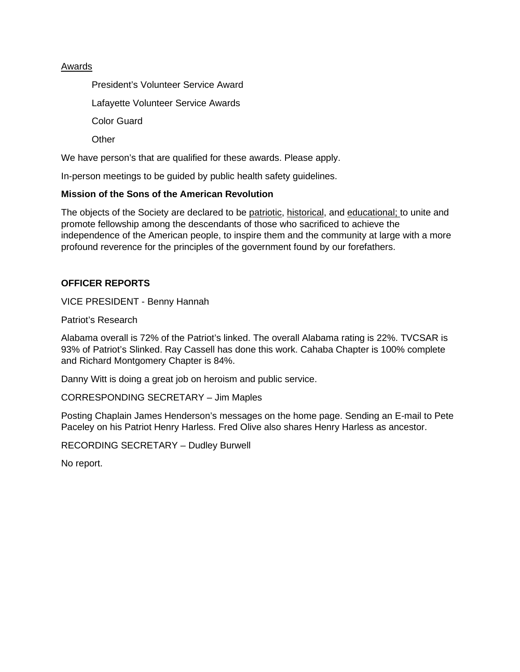#### Awards

President's Volunteer Service Award Lafayette Volunteer Service Awards Color Guard **Other** 

We have person's that are qualified for these awards. Please apply.

In-person meetings to be guided by public health safety guidelines.

#### **Mission of the Sons of the American Revolution**

The objects of the Society are declared to be patriotic, historical, and educational; to unite and promote fellowship among the descendants of those who sacrificed to achieve the independence of the American people, to inspire them and the community at large with a more profound reverence for the principles of the government found by our forefathers.

#### **OFFICER REPORTS**

VICE PRESIDENT - Benny Hannah

Patriot's Research

Alabama overall is 72% of the Patriot's linked. The overall Alabama rating is 22%. TVCSAR is 93% of Patriot's Slinked. Ray Cassell has done this work. Cahaba Chapter is 100% complete and Richard Montgomery Chapter is 84%.

Danny Witt is doing a great job on heroism and public service.

CORRESPONDING SECRETARY – Jim Maples

Posting Chaplain James Henderson's messages on the home page. Sending an E-mail to Pete Paceley on his Patriot Henry Harless. Fred Olive also shares Henry Harless as ancestor.

RECORDING SECRETARY – Dudley Burwell

No report.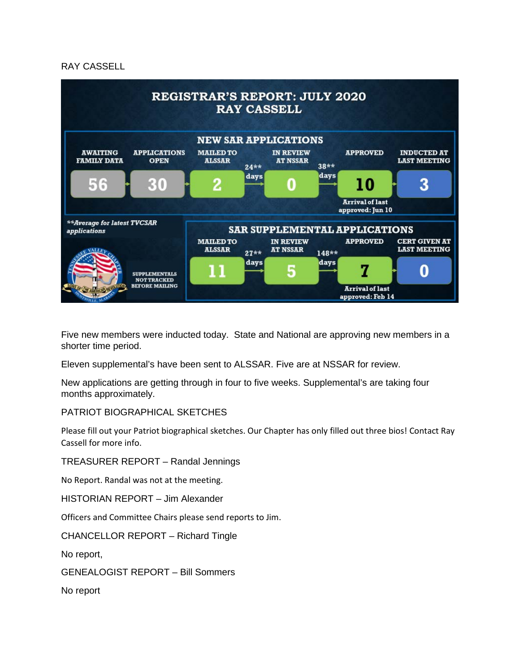#### RAY CASSELL



Five new members were inducted today. State and National are approving new members in a shorter time period.

Eleven supplemental's have been sent to ALSSAR. Five are at NSSAR for review.

New applications are getting through in four to five weeks. Supplemental's are taking four months approximately.

#### PATRIOT BIOGRAPHICAL SKETCHES

Please fill out your Patriot biographical sketches. Our Chapter has only filled out three bios! Contact Ray Cassell for more info.

TREASURER REPORT – Randal Jennings

No Report. Randal was not at the meeting.

HISTORIAN REPORT – Jim Alexander

Officers and Committee Chairs please send reports to Jim.

CHANCELLOR REPORT – Richard Tingle

No report,

GENEALOGIST REPORT – Bill Sommers

No report